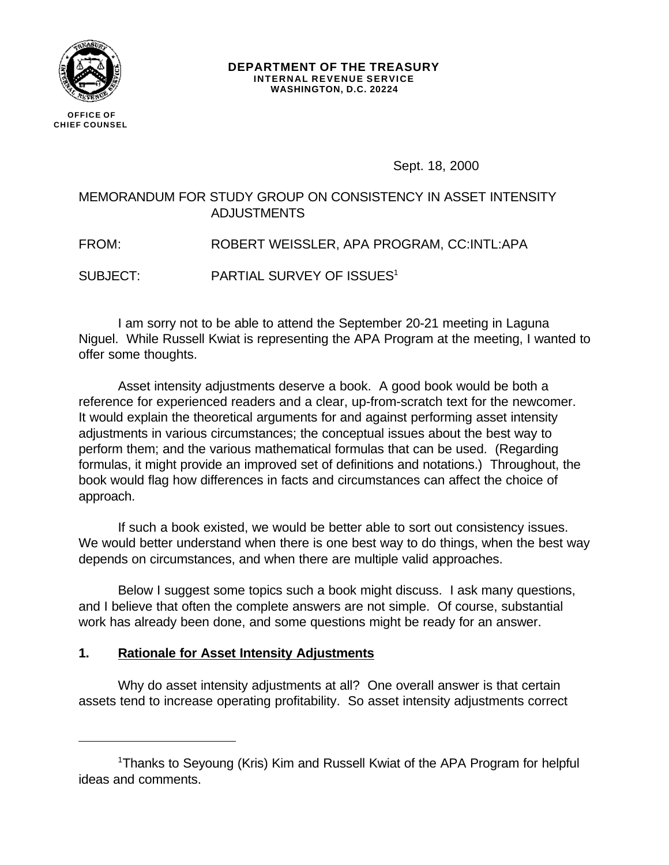

**CHIEF COUNSEL**

#### **DEPARTMENT OF THE TREASURY INTERNAL REVENUE SERVICE WASHINGTON, D.C. 20224**

Sept. 18, 2000

# MEMORANDUM FOR STUDY GROUP ON CONSISTENCY IN ASSET INTENSITY ADJUSTMENTS

FROM: ROBERT WEISSLER, APA PROGRAM, CC:INTL:APA

SUBJECT: PARTIAL SURVEY OF ISSUES<sup>1</sup>

I am sorry not to be able to attend the September 20-21 meeting in Laguna Niguel. While Russell Kwiat is representing the APA Program at the meeting, I wanted to offer some thoughts.

Asset intensity adjustments deserve a book. A good book would be both a reference for experienced readers and a clear, up-from-scratch text for the newcomer. It would explain the theoretical arguments for and against performing asset intensity adjustments in various circumstances; the conceptual issues about the best way to perform them; and the various mathematical formulas that can be used. (Regarding formulas, it might provide an improved set of definitions and notations.) Throughout, the book would flag how differences in facts and circumstances can affect the choice of approach.

If such a book existed, we would be better able to sort out consistency issues. We would better understand when there is one best way to do things, when the best way depends on circumstances, and when there are multiple valid approaches.

Below I suggest some topics such a book might discuss. I ask many questions, and I believe that often the complete answers are not simple. Of course, substantial work has already been done, and some questions might be ready for an answer.

# **1. Rationale for Asset Intensity Adjustments**

Why do asset intensity adjustments at all? One overall answer is that certain assets tend to increase operating profitability. So asset intensity adjustments correct

<sup>1</sup>Thanks to Seyoung (Kris) Kim and Russell Kwiat of the APA Program for helpful ideas and comments.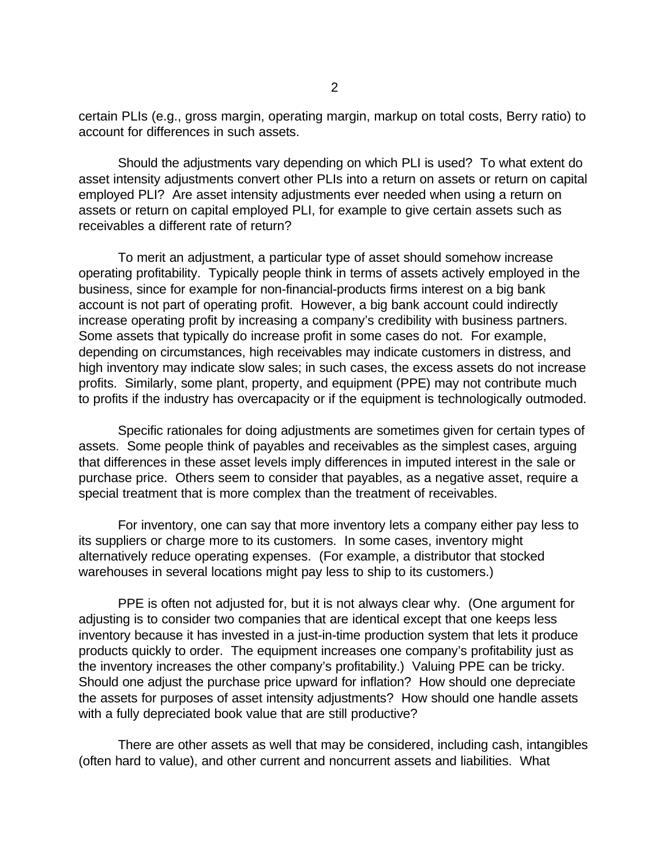certain PLIs (e.g., gross margin, operating margin, markup on total costs, Berry ratio) to account for differences in such assets.

Should the adjustments vary depending on which PLI is used? To what extent do asset intensity adjustments convert other PLIs into a return on assets or return on capital employed PLI? Are asset intensity adjustments ever needed when using a return on assets or return on capital employed PLI, for example to give certain assets such as receivables a different rate of return?

To merit an adjustment, a particular type of asset should somehow increase operating profitability. Typically people think in terms of assets actively employed in the business, since for example for non-financial-products firms interest on a big bank account is not part of operating profit. However, a big bank account could indirectly increase operating profit by increasing a company's credibility with business partners. Some assets that typically do increase profit in some cases do not. For example, depending on circumstances, high receivables may indicate customers in distress, and high inventory may indicate slow sales; in such cases, the excess assets do not increase profits. Similarly, some plant, property, and equipment (PPE) may not contribute much to profits if the industry has overcapacity or if the equipment is technologically outmoded.

Specific rationales for doing adjustments are sometimes given for certain types of assets. Some people think of payables and receivables as the simplest cases, arguing that differences in these asset levels imply differences in imputed interest in the sale or purchase price. Others seem to consider that payables, as a negative asset, require a special treatment that is more complex than the treatment of receivables.

For inventory, one can say that more inventory lets a company either pay less to its suppliers or charge more to its customers. In some cases, inventory might alternatively reduce operating expenses. (For example, a distributor that stocked warehouses in several locations might pay less to ship to its customers.)

PPE is often not adjusted for, but it is not always clear why. (One argument for adjusting is to consider two companies that are identical except that one keeps less inventory because it has invested in a just-in-time production system that lets it produce products quickly to order. The equipment increases one company's profitability just as the inventory increases the other company's profitability.) Valuing PPE can be tricky. Should one adjust the purchase price upward for inflation? How should one depreciate the assets for purposes of asset intensity adjustments? How should one handle assets with a fully depreciated book value that are still productive?

There are other assets as well that may be considered, including cash, intangibles (often hard to value), and other current and noncurrent assets and liabilities. What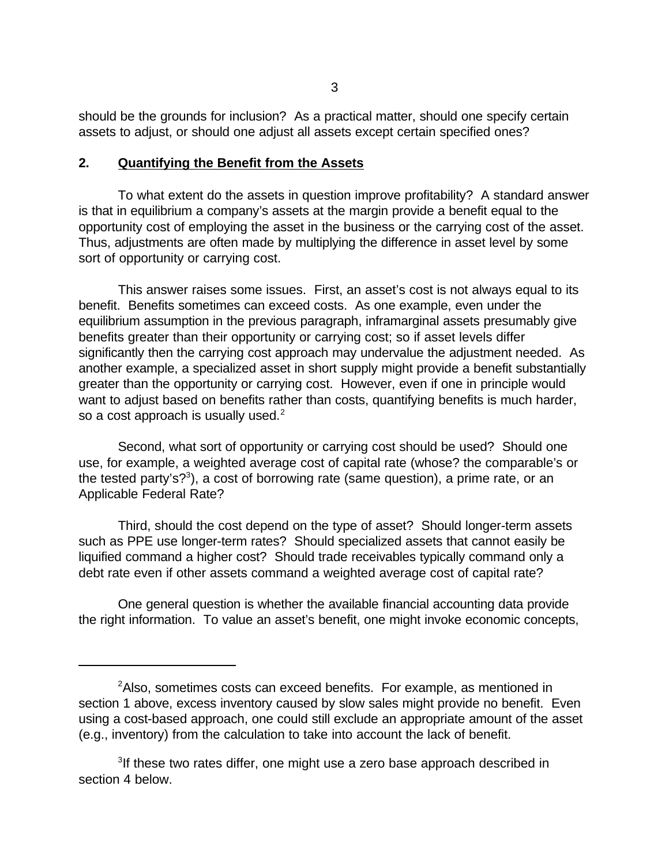should be the grounds for inclusion? As a practical matter, should one specify certain assets to adjust, or should one adjust all assets except certain specified ones?

#### **2. Quantifying the Benefit from the Assets**

To what extent do the assets in question improve profitability? A standard answer is that in equilibrium a company's assets at the margin provide a benefit equal to the opportunity cost of employing the asset in the business or the carrying cost of the asset. Thus, adjustments are often made by multiplying the difference in asset level by some sort of opportunity or carrying cost.

This answer raises some issues. First, an asset's cost is not always equal to its benefit. Benefits sometimes can exceed costs. As one example, even under the equilibrium assumption in the previous paragraph, inframarginal assets presumably give benefits greater than their opportunity or carrying cost; so if asset levels differ significantly then the carrying cost approach may undervalue the adjustment needed. As another example, a specialized asset in short supply might provide a benefit substantially greater than the opportunity or carrying cost. However, even if one in principle would want to adjust based on benefits rather than costs, quantifying benefits is much harder, so a cost approach is usually used.<sup>2</sup>

Second, what sort of opportunity or carrying cost should be used? Should one use, for example, a weighted average cost of capital rate (whose? the comparable's or the tested party's?<sup>3</sup>), a cost of borrowing rate (same question), a prime rate, or an Applicable Federal Rate?

Third, should the cost depend on the type of asset? Should longer-term assets such as PPE use longer-term rates? Should specialized assets that cannot easily be liquified command a higher cost? Should trade receivables typically command only a debt rate even if other assets command a weighted average cost of capital rate?

One general question is whether the available financial accounting data provide the right information. To value an asset's benefit, one might invoke economic concepts,

<sup>&</sup>lt;sup>2</sup>Also, sometimes costs can exceed benefits. For example, as mentioned in section 1 above, excess inventory caused by slow sales might provide no benefit. Even using a cost-based approach, one could still exclude an appropriate amount of the asset (e.g., inventory) from the calculation to take into account the lack of benefit.

<sup>&</sup>lt;sup>3</sup>If these two rates differ, one might use a zero base approach described in section 4 below.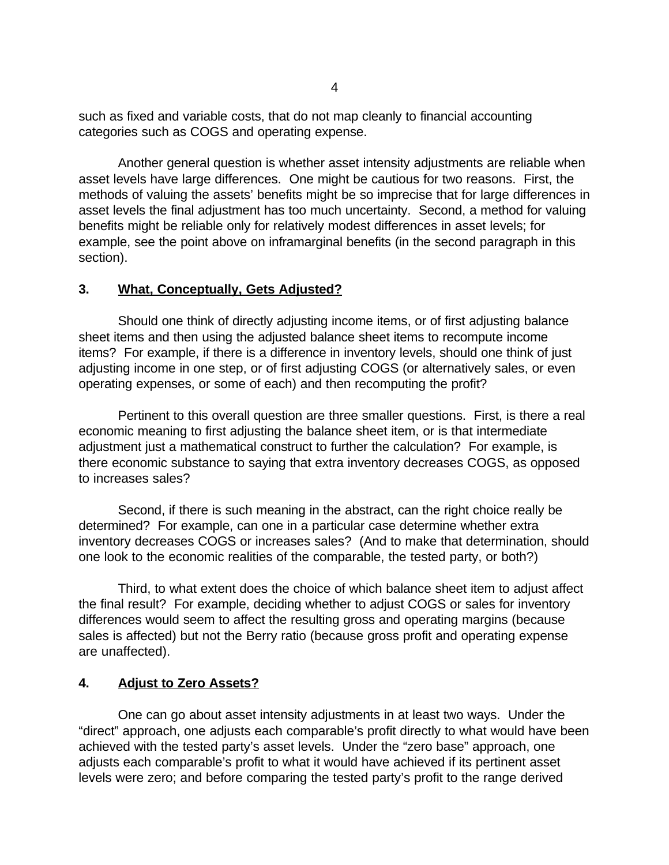such as fixed and variable costs, that do not map cleanly to financial accounting categories such as COGS and operating expense.

Another general question is whether asset intensity adjustments are reliable when asset levels have large differences. One might be cautious for two reasons. First, the methods of valuing the assets' benefits might be so imprecise that for large differences in asset levels the final adjustment has too much uncertainty. Second, a method for valuing benefits might be reliable only for relatively modest differences in asset levels; for example, see the point above on inframarginal benefits (in the second paragraph in this section).

### **3. What, Conceptually, Gets Adjusted?**

Should one think of directly adjusting income items, or of first adjusting balance sheet items and then using the adjusted balance sheet items to recompute income items? For example, if there is a difference in inventory levels, should one think of just adjusting income in one step, or of first adjusting COGS (or alternatively sales, or even operating expenses, or some of each) and then recomputing the profit?

Pertinent to this overall question are three smaller questions. First, is there a real economic meaning to first adjusting the balance sheet item, or is that intermediate adjustment just a mathematical construct to further the calculation? For example, is there economic substance to saying that extra inventory decreases COGS, as opposed to increases sales?

Second, if there is such meaning in the abstract, can the right choice really be determined? For example, can one in a particular case determine whether extra inventory decreases COGS or increases sales? (And to make that determination, should one look to the economic realities of the comparable, the tested party, or both?)

Third, to what extent does the choice of which balance sheet item to adjust affect the final result? For example, deciding whether to adjust COGS or sales for inventory differences would seem to affect the resulting gross and operating margins (because sales is affected) but not the Berry ratio (because gross profit and operating expense are unaffected).

## **4. Adjust to Zero Assets?**

One can go about asset intensity adjustments in at least two ways. Under the "direct" approach, one adjusts each comparable's profit directly to what would have been achieved with the tested party's asset levels. Under the "zero base" approach, one adjusts each comparable's profit to what it would have achieved if its pertinent asset levels were zero; and before comparing the tested party's profit to the range derived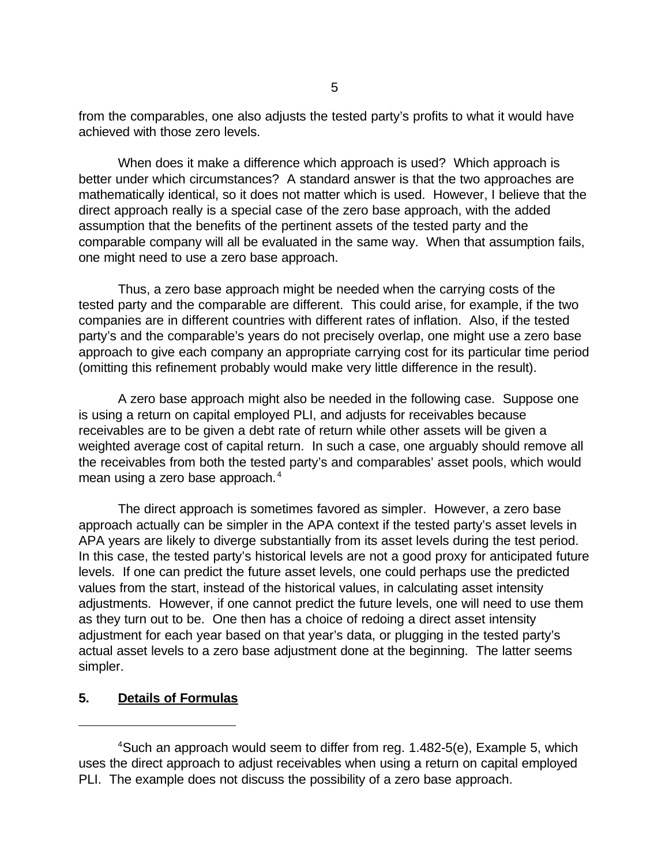from the comparables, one also adjusts the tested party's profits to what it would have achieved with those zero levels.

When does it make a difference which approach is used? Which approach is better under which circumstances? A standard answer is that the two approaches are mathematically identical, so it does not matter which is used. However, I believe that the direct approach really is a special case of the zero base approach, with the added assumption that the benefits of the pertinent assets of the tested party and the comparable company will all be evaluated in the same way. When that assumption fails, one might need to use a zero base approach.

Thus, a zero base approach might be needed when the carrying costs of the tested party and the comparable are different. This could arise, for example, if the two companies are in different countries with different rates of inflation. Also, if the tested party's and the comparable's years do not precisely overlap, one might use a zero base approach to give each company an appropriate carrying cost for its particular time period (omitting this refinement probably would make very little difference in the result).

A zero base approach might also be needed in the following case. Suppose one is using a return on capital employed PLI, and adjusts for receivables because receivables are to be given a debt rate of return while other assets will be given a weighted average cost of capital return. In such a case, one arguably should remove all the receivables from both the tested party's and comparables' asset pools, which would mean using a zero base approach.<sup>4</sup>

The direct approach is sometimes favored as simpler. However, a zero base approach actually can be simpler in the APA context if the tested party's asset levels in APA years are likely to diverge substantially from its asset levels during the test period. In this case, the tested party's historical levels are not a good proxy for anticipated future levels. If one can predict the future asset levels, one could perhaps use the predicted values from the start, instead of the historical values, in calculating asset intensity adjustments. However, if one cannot predict the future levels, one will need to use them as they turn out to be. One then has a choice of redoing a direct asset intensity adjustment for each year based on that year's data, or plugging in the tested party's actual asset levels to a zero base adjustment done at the beginning. The latter seems simpler.

## **5. Details of Formulas**

<sup>4</sup>Such an approach would seem to differ from reg. 1.482-5(e), Example 5, which uses the direct approach to adjust receivables when using a return on capital employed PLI. The example does not discuss the possibility of a zero base approach.